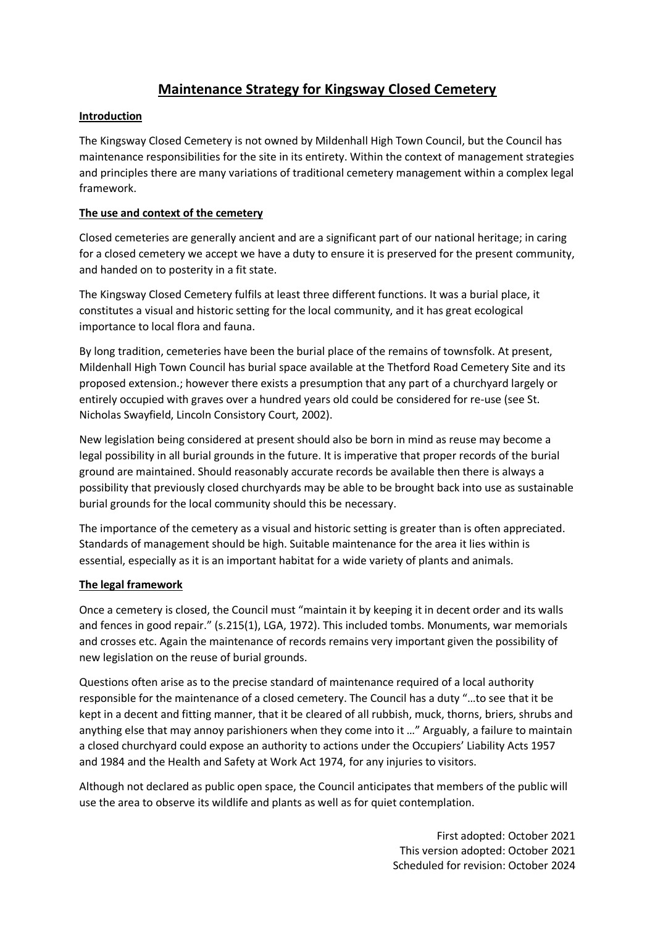# **Maintenance Strategy for Kingsway Closed Cemetery**

## **Introduction**

The Kingsway Closed Cemetery is not owned by Mildenhall High Town Council, but the Council has maintenance responsibilities for the site in its entirety. Within the context of management strategies and principles there are many variations of traditional cemetery management within a complex legal framework.

## **The use and context of the cemetery**

Closed cemeteries are generally ancient and are a significant part of our national heritage; in caring for a closed cemetery we accept we have a duty to ensure it is preserved for the present community, and handed on to posterity in a fit state.

The Kingsway Closed Cemetery fulfils at least three different functions. It was a burial place, it constitutes a visual and historic setting for the local community, and it has great ecological importance to local flora and fauna.

By long tradition, cemeteries have been the burial place of the remains of townsfolk. At present, Mildenhall High Town Council has burial space available at the Thetford Road Cemetery Site and its proposed extension.; however there exists a presumption that any part of a churchyard largely or entirely occupied with graves over a hundred years old could be considered for re-use (see St. Nicholas Swayfield, Lincoln Consistory Court, 2002).

New legislation being considered at present should also be born in mind as reuse may become a legal possibility in all burial grounds in the future. It is imperative that proper records of the burial ground are maintained. Should reasonably accurate records be available then there is always a possibility that previously closed churchyards may be able to be brought back into use as sustainable burial grounds for the local community should this be necessary.

The importance of the cemetery as a visual and historic setting is greater than is often appreciated. Standards of management should be high. Suitable maintenance for the area it lies within is essential, especially as it is an important habitat for a wide variety of plants and animals.

# **The legal framework**

Once a cemetery is closed, the Council must "maintain it by keeping it in decent order and its walls and fences in good repair." (s.215(1), LGA, 1972). This included tombs. Monuments, war memorials and crosses etc. Again the maintenance of records remains very important given the possibility of new legislation on the reuse of burial grounds.

Questions often arise as to the precise standard of maintenance required of a local authority responsible for the maintenance of a closed cemetery. The Council has a duty "…to see that it be kept in a decent and fitting manner, that it be cleared of all rubbish, muck, thorns, briers, shrubs and anything else that may annoy parishioners when they come into it …" Arguably, a failure to maintain a closed churchyard could expose an authority to actions under the Occupiers' Liability Acts 1957 and 1984 and the Health and Safety at Work Act 1974, for any injuries to visitors.

Although not declared as public open space, the Council anticipates that members of the public will use the area to observe its wildlife and plants as well as for quiet contemplation.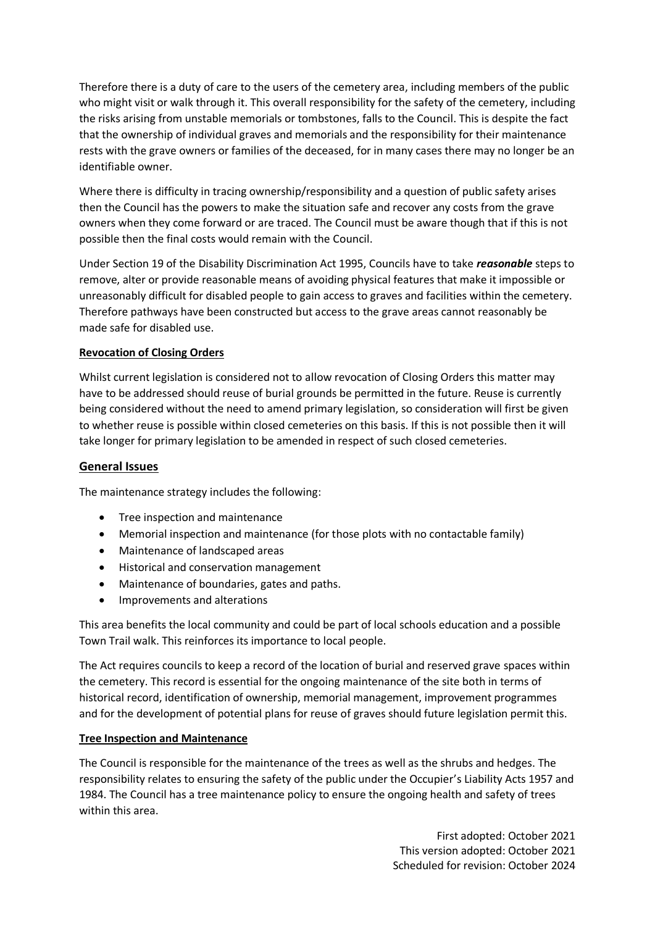Therefore there is a duty of care to the users of the cemetery area, including members of the public who might visit or walk through it. This overall responsibility for the safety of the cemetery, including the risks arising from unstable memorials or tombstones, falls to the Council. This is despite the fact that the ownership of individual graves and memorials and the responsibility for their maintenance rests with the grave owners or families of the deceased, for in many cases there may no longer be an identifiable owner.

Where there is difficulty in tracing ownership/responsibility and a question of public safety arises then the Council has the powers to make the situation safe and recover any costs from the grave owners when they come forward or are traced. The Council must be aware though that if this is not possible then the final costs would remain with the Council.

Under Section 19 of the Disability Discrimination Act 1995, Councils have to take *reasonable* steps to remove, alter or provide reasonable means of avoiding physical features that make it impossible or unreasonably difficult for disabled people to gain access to graves and facilities within the cemetery. Therefore pathways have been constructed but access to the grave areas cannot reasonably be made safe for disabled use.

## **Revocation of Closing Orders**

Whilst current legislation is considered not to allow revocation of Closing Orders this matter may have to be addressed should reuse of burial grounds be permitted in the future. Reuse is currently being considered without the need to amend primary legislation, so consideration will first be given to whether reuse is possible within closed cemeteries on this basis. If this is not possible then it will take longer for primary legislation to be amended in respect of such closed cemeteries.

### **General Issues**

The maintenance strategy includes the following:

- Tree inspection and maintenance
- Memorial inspection and maintenance (for those plots with no contactable family)
- Maintenance of landscaped areas
- Historical and conservation management
- Maintenance of boundaries, gates and paths.
- Improvements and alterations

This area benefits the local community and could be part of local schools education and a possible Town Trail walk. This reinforces its importance to local people.

The Act requires councils to keep a record of the location of burial and reserved grave spaces within the cemetery. This record is essential for the ongoing maintenance of the site both in terms of historical record, identification of ownership, memorial management, improvement programmes and for the development of potential plans for reuse of graves should future legislation permit this.

#### **Tree Inspection and Maintenance**

The Council is responsible for the maintenance of the trees as well as the shrubs and hedges. The responsibility relates to ensuring the safety of the public under the Occupier's Liability Acts 1957 and 1984. The Council has a tree maintenance policy to ensure the ongoing health and safety of trees within this area.

> First adopted: October 2021 This version adopted: October 2021 Scheduled for revision: October 2024